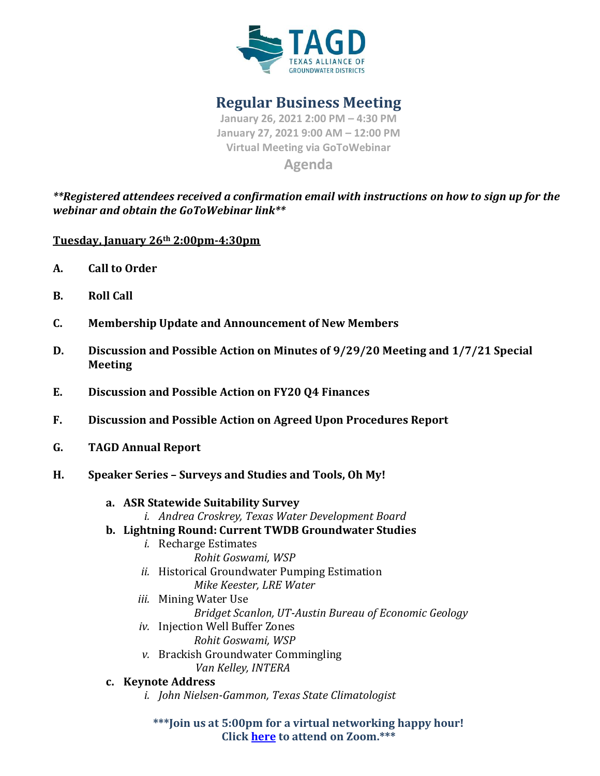

**Regular Business Meeting**

**January 26, 2021 2:00 PM – 4:30 PM January 27, 2021 9:00 AM – 12:00 PM Virtual Meeting via GoToWebinar Agenda**

*\*\*Registered attendees received a confirmation email with instructions on how to sign up for the webinar and obtain the GoToWebinar link\*\**

**Tuesday, January 26th 2:00pm-4:30pm**

- **A. Call to Order**
- **B. Roll Call**
- **C. Membership Update and Announcement of New Members**
- **D. Discussion and Possible Action on Minutes of 9/29/20 Meeting and 1/7/21 Special Meeting**
- **E. Discussion and Possible Action on FY20 Q4 Finances**
- **F. Discussion and Possible Action on Agreed Upon Procedures Report**
- **G. TAGD Annual Report**
- **H. Speaker Series – Surveys and Studies and Tools, Oh My!**
	- **a. ASR Statewide Suitability Survey**
		- *i. Andrea Croskrey, Texas Water Development Board*
	- **b. Lightning Round: Current TWDB Groundwater Studies**
		- *i.* Recharge Estimates *Rohit Goswami, WSP*
		- *ii.* Historical Groundwater Pumping Estimation *Mike Keester, LRE Water*
		- *iii.* Mining Water Use
		- *Bridget Scanlon, UT-Austin Bureau of Economic Geology*
		- *iv.* Injection Well Buffer Zones
			- *Rohit Goswami, WSP*
		- *v.* Brackish Groundwater Commingling *Van Kelley, INTERA*
	- **c. Keynote Address** 
		- *i. John Nielsen-Gammon, Texas State Climatologist*

**\*\*\*Join us at 5:00pm for a virtual networking happy hour! Click [here](https://us02web.zoom.us/j/86059485085) to attend on Zoom.\*\*\***